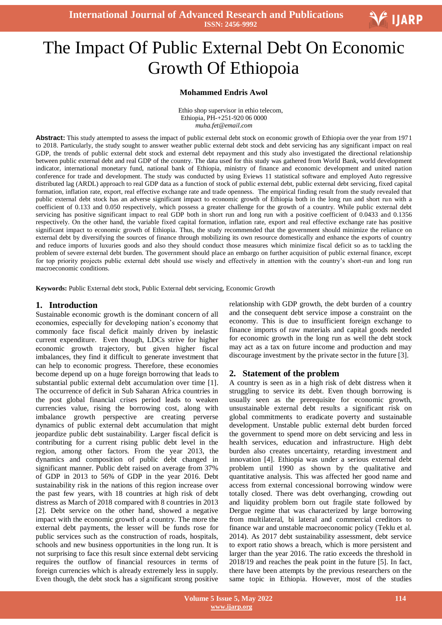**International Journal of Advanced Research and Publications ISSN: 2456-9992**

# Ξ The Impact Of Public External Debt On Economic Growth Of Ethiopoia

## **Mohammed Endris Awol**

Ethio shop supervisor in ethio telecom, Ethiopia, PH-+251-920 06 0000 *muha.fet@email.com*

**Abstract:** This study attempted to assess the impact of public external debt stock on economic growth of Ethiopia over the year from 1971 to 2018. Particularly, the study sought to answer weather public external debt stock and debt servicing has any significant impact on real GDP, the trends of public external debt stock and external debt repayment and this study also investigated the directional relationship between public external debt and real GDP of the country. The data used for this study was gathered from World Bank, world development indicator, international monetary fund, national bank of Ethiopia, ministry of finance and economic development and united nation conference for trade and development. The study was conducted by using Eviews 11 statistical software and employed Auto regressive distributed lag (ARDL) approach to real GDP data as a function of stock of public external debt, public external debt servicing, fixed capital formation, inflation rate, export, real effective exchange rate and trade openness. The empirical finding result from the study revealed that public external debt stock has an adverse significant impact to economic growth of Ethiopia both in the long run and short run with a coefficient of 0.133 and 0.050 respectively, which possess a greater challenge for the growth of a country. While public external debt servicing has positive significant impact to real GDP both in short run and long run with a positive coefficient of 0.0433 and 0.1356 respectively. On the other hand, the variable fixed capital formation, inflation rate, export and real effective exchange rate has positive significant impact to economic growth of Ethiopia. Thus, the study recommended that the government should minimize the reliance on external debt by diversifying the sources of finance through mobilizing its own resource domestically and enhance the exports of country and reduce imports of luxuries goods and also they should conduct those measures which minimize fiscal deficit so as to tackling the problem of severe external debt burden. The government should place an embargo on further acquisition of public external finance, except for top priority projects public external debt should use wisely and effectively in attention with the country's short-run and long run macroeconomic conditions.

**Keywords:** Public External debt stock, Public External debt servicing, Economic Growth

## **1. Introduction**

Sustainable economic growth is the dominant concern of all economies, especially for developing nation's economy that commonly face fiscal deficit mainly driven by inelastic current expenditure. Even though, LDCs strive for higher economic growth trajectory, but given higher fiscal imbalances, they find it difficult to generate investment that can help to economic progress. Therefore, these economies become depend up on a huge foreign borrowing that leads to substantial public external debt accumulation over time [1]. The occurrence of deficit in Sub Saharan Africa countries in the post global financial crises period leads to weaken currencies value, rising the borrowing cost, along with imbalance growth perspective are creating perverse dynamics of public external debt accumulation that might jeopardize public debt sustainability. Larger fiscal deficit is contributing for a current rising public debt level in the region, among other factors. From the year 2013, the dynamics and composition of public debt changed in significant manner. Public debt raised on average from 37% of GDP in 2013 to 56% of GDP in the year 2016. Debt sustainability risk in the nations of this region increase over the past few years, with 18 countries at high risk of debt distress as March of 2018 compared with 8 countries in 2013 [2]. Debt service on the other hand, showed a negative impact with the economic growth of a country. The more the external debt payments, the lesser will be funds rose for public services such as the construction of roads, hospitals, schools and new business opportunities in the long run. It is not surprising to face this result since external debt servicing requires the outflow of financial resources in terms of foreign currencies which is already extremely less in supply. Even though, the debt stock has a significant strong positive

relationship with GDP growth, the debt burden of a country and the consequent debt service impose a constraint on the economy. This is due to insufficient foreign exchange to finance imports of raw materials and capital goods needed for economic growth in the long run as well the debt stock may act as a tax on future income and production and may discourage investment by the private sector in the future [3].

#### **2. Statement of the problem**

A country is seen as in a high risk of debt distress when it struggling to service its debt. Even though borrowing is usually seen as the prerequisite for economic growth, unsustainable external debt results a significant risk on global commitments to eradicate poverty and sustainable development. Unstable public external debt burden forced the government to spend more on debt servicing and less in health services, education and infrastructure. High debt burden also creates uncertainty, retarding investment and innovation [4]. Ethiopia was under a serious external debt problem until 1990 as shown by the qualitative and quantitative analysis. This was affected her good name and access from external concessional borrowing window were totally closed. There was debt overhanging, crowding out and liquidity problem born out fragile state followed by Dergue regime that was characterized by large borrowing from multilateral, bi lateral and commercial creditors to finance war and unstable macroeconomic policy (Teklu et al. 2014). As 2017 debt sustainability assessment, debt service to export ratio shows a breach, which is more persistent and larger than the year 2016. The ratio exceeds the threshold in 2018/19 and reaches the peak point in the future [5]. In fact, there have been attempts by the previous researchers on the same topic in Ethiopia. However, most of the studies

**V** IJARP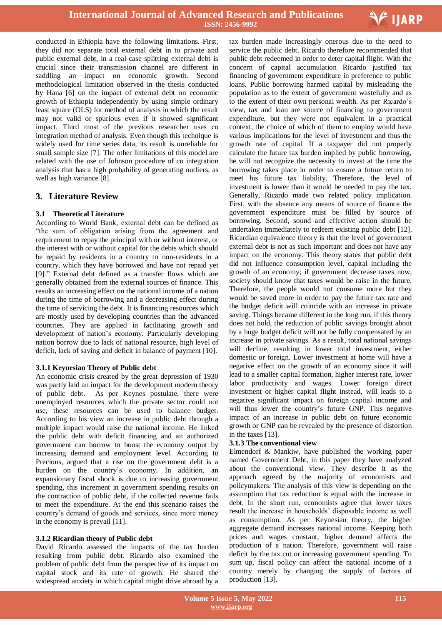

conducted in Ethiopia have the following limitations. First, they did not separate total external debt in to private and public external debt, in a real case splitting external debt is crucial since their transmission channel are different in saddling an impact on economic growth. Second methodological limitation observed in the thesis conducted by Hana [6] on the impact of external debt on economic growth of Ethiopia independently by using simple ordinary least square (OLS) for method of analysis in which the result may not valid or spurious even if it showed significant impact. Third most of the previous researcher uses co integration method of analysis. Even though this technique is widely used for time series data, its result is unreliable for small sample size [7]. The other limitations of this model are related with the use of Johnson procedure of co integration analysis that has a high probability of generating outliers, as well as high variance [8].

# **3. Literature Review**

## **3.1 Theoretical Literature**

According to World Bank, external debt can be defined as "the sum of obligation arising from the agreement and requirement to repay the principal with or without interest, or the interest with or without capital for the debts which should be repaid by residents in a country to non-residents in a country, which they have borrowed and have not repaid yet [9]." External debt defined as a transfer flows which are generally obtained from the external sources of finance. This results an increasing effect on the national income of a nation during the time of borrowing and a decreasing effect during the time of servicing the debt. It is financing resources which are mostly used by developing countries than the advanced countries. They are applied in facilitating growth and development of nation's economy. Particularly developing nation borrow due to lack of national resource, high level of deficit, lack of saving and deficit in balance of payment [10].

## **3.1.1 Keynesian Theory of Public debt**

An economic crisis created by the great depression of 1930 was partly laid an impact for the development modern theory of public debt. As per Keynes postulate, there were unemployed resources which the private sector could not use, these resources can be used to balance budget. According to his view an increase in public debt through a multiple impact would raise the national income. He linked the public debt with deficit financing and an authorized government can borrow to boost the economy output by increasing demand and employment level. According to Precious, argued that a rise on the government debt is a burden on the country's economy. In addition, an expansionary fiscal shock is due to increasing government spending, this increment in government spending results on the contraction of public debt, if the collected revenue fails to meet the expenditure. At the end this scenario raises the country's demand of goods and services, since more money in the economy is prevail [11].

## **3.1.2 Ricardian theory of Public debt**

David Ricardo assessed the impacts of the tax burden resulting from public debt. Ricardo also examined the problem of public debt from the perspective of its impact on capital stock and its rate of growth. He shared the widespread anxiety in which capital might drive abroad by a

 tax burden made increasingly onerous due to the need to service the public debt. Ricardo therefore recommended that public debt redeemed in order to deter capital flight. With the concern of capital accumulation Ricardo justified tax financing of government expenditure in preference to public loans. Public borrowing harmed capital by misleading the population as to the extent of government wastefully and as to the extent of their own personal wealth. As per Ricardo's view, tax and loan are source of financing to government expenditure, but they were not equivalent in a practical context, the choice of which of them to employ would have various implications for the level of investment and thus the growth rate of capital. If a taxpayer did not properly calculate the future tax burden implied by public borrowing, he will not recognize the necessity to invest at the time the borrowing takes place in order to ensure a future return to meet his future tax liability. Therefore, the level of investment is lower than it would be needed to pay the tax. Generally, Ricardo made two related policy implication. First, with the absence any means of source of finance the government expenditure must be filled by source of borrowing. Second, sound and effective action should be undertaken immediately to redeem existing public debt [12]. Ricardian equivalence theory is that the level of government external debt is not as such important and does not have any impact on the economy. This theory states that public debt did not influence consumption level, capital including the growth of an economy; if government decrease taxes now, society should know that taxes would be raise in the future. Therefore, the people would not consume more but they would be saved more in order to pay the future tax rate and the budget deficit will coincide with an increase in private saving. Things became different in the long run, if this theory does not hold, the reduction of public savings brought about by a huge budget deficit will not be fully compensated by an increase in private savings. As a result, total national savings will decline, resulting in lower total investment, either domestic or foreign. Lower investment at home will have a negative effect on the growth of an economy since it will lead to a smaller capital formation, higher interest rate, lower labor productivity and wages. Lower foreign direct investment or higher capital flight instead, will leads to a negative significant impact on foreign capital income and will thus lower the country's future GNP. This negative impact of an increase in public debt on future economic growth or GNP can be revealed by the presence of distortion in the taxes [13].

## **3.1.3 The conventional view**

Elmendorf & Mankiw, have published the working paper named Government Debt, in this paper they have analyzed about the conventional view. They describe it as the approach agreed by the majority of economists and policymakers. The analysis of this view is depending on the assumption that tax reduction is equal with the increase in debt. In the short run, economists agree that lower taxes result the increase in households' disposable income as well as consumption. As per Keynesian theory, the higher aggregate demand increases national income. Keeping both prices and wages constant, higher demand affects the production of a nation. Therefore, government will raise deficit by the tax cut or increasing government spending. To sum up, fiscal policy can affect the national income of a country merely by changing the supply of factors of production [13].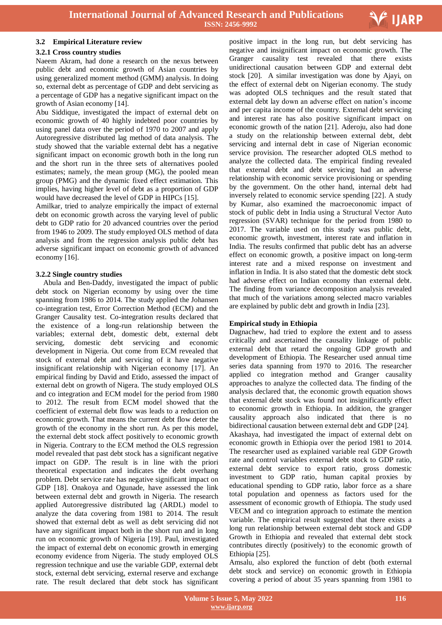

#### **3.2 Empirical Literature review**

#### **3.2.1 Cross country studies**

Naeem Akram, had done a research on the nexus between public debt and economic growth of Asian countries by using generalized moment method (GMM) analysis. In doing so, external debt as percentage of GDP and debt servicing as a percentage of GDP has a negative significant impact on the growth of Asian economy [14].

Abu Siddique, investigated the impact of external debt on economic growth of 40 highly indebted poor countries by using panel data over the period of 1970 to 2007 and apply Autoregressive distributed lag method of data analysis. The study showed that the variable external debt has a negative significant impact on economic growth both in the long run and the short run in the three sets of alternatives pooled estimates; namely, the mean group (MG), the pooled mean group (PMG) and the dynamic fixed effect estimation. This implies, having higher level of debt as a proportion of GDP would have decreased the level of GDP in HIPCs [15].

Amilkar, tried to analyze empirically the impact of external debt on economic growth across the varying level of public debt to GDP ratio for 20 advanced countries over the period from 1946 to 2009. The study employed OLS method of data analysis and from the regression analysis public debt has adverse significant impact on economic growth of advanced economy [16].

#### **3.2.2 Single country studies**

Abula and Ben-Daddy, investigated the impact of public debt stock on Nigerian economy by using over the time spanning from 1986 to 2014. The study applied the Johansen co-integration test, Error Correction Method (ECM) and the Granger Causality test. Co-integration results declared that the existence of a long-run relationship between the variables; external debt, domestic debt, external debt servicing, domestic debt servicing and economic development in Nigeria. Out come from ECM revealed that stock of external debt and servicing of it have negative insignificant relationship with Nigerian economy [17]. An empirical finding by David and Etido, assessed the impact of external debt on growth of Nigera. The study employed OLS and co integration and ECM model for the period from 1980 to 2012. The result from ECM model showed that the coefficient of external debt flow was leads to a reduction on economic growth. That means the current debt flow deter the growth of the economy in the short run. As per this model, the external debt stock affect positively to economic growth in Nigeria. Contrary to the ECM method the OLS regression model revealed that past debt stock has a significant negative impact on GDP. The result is in line with the priori theoretical expectation and indicates the debt overhang problem. Debt service rate has negative significant impact on GDP [18]. Onakoya and Ogunade, have assessed the link between external debt and growth in Nigeria. The research applied Autoregressive distributed lag (ARDL) model to analyze the data covering from 1981 to 2014. The result showed that external debt as well as debt servicing did not have any significant impact both in the short run and in long run on economic growth of Nigeria [19]. Paul, investigated the impact of external debt on economic growth in emerging economy evidence from Nigeria. The study employed OLS regression technique and use the variable GDP, external debt stock, external debt servicing, external reserve and exchange rate. The result declared that debt stock has significant

 positive impact in the long run, but debt servicing has negative and insignificant impact on economic growth. The Granger causality test revealed that there exists unidirectional causation between GDP and external debt stock [20]. A similar investigation was done by Ajayi, on the effect of external debt on Nigerian economy. The study was adopted OLS techniques and the result stated that external debt lay down an adverse effect on nation's income and per capita income of the country. External debt servicing and interest rate has also positive significant impact on economic growth of the nation [21]. Aderoju, also had done a study on the relationship between external debt, debt servicing and internal debt in case of Nigerian economic service provision. The researcher adopted OLS method to analyze the collected data. The empirical finding revealed that external debt and debt servicing had an adverse relationship with economic service provisioning or spending by the government. On the other hand, internal debt had inversely related to economic service spending [22]. A study by Kumar, also examined the macroeconomic impact of stock of public debt in India using a Structural Vector Auto regression (SVAR) technique for the period from 1980 to 2017. The variable used on this study was public debt, economic growth, investment, interest rate and inflation in India. The results confirmed that public debt has an adverse effect on economic growth, a positive impact on long-term interest rate and a mixed response on investment and inflation in India. It is also stated that the domestic debt stock had adverse effect on Indian economy than external debt. The finding from variance decomposition analysis revealed that much of the variations among selected macro variables are explained by public debt and growth in India [23].

## **Empirical study in Ethiopia**

Dagnachew, had tried to explore the extent and to assess critically and ascertained the causality linkage of public external debt that retard the ongoing GDP growth and development of Ethiopia. The Researcher used annual time series data spanning from 1970 to 2016. The researcher applied co integration method and Granger causality approaches to analyze the collected data. The finding of the analysis declared that, the economic growth equation shows that external debt stock was found not insignificantly effect to economic growth in Ethiopia. In addition, the granger causality approach also indicated that there is no bidirectional causation between external debt and GDP [24]. Akashaya, had investigated the impact of external debt on economic growth in Ethiopia over the period 1981 to 2014. The researcher used as explained variable real GDP Growth rate and control variables external debt stock to GDP ratio, external debt service to export ratio, gross domestic investment to GDP ratio, human capital proxies by educational spending to GDP ratio, labor force as a share total population and openness as factors used for the assessment of economic growth of Ethiopia. The study used VECM and co integration approach to estimate the mention variable. The empirical result suggested that there exists a long run relationship between external debt stock and GDP Growth in Ethiopia and revealed that external debt stock contributes directly (positively) to the economic growth of Ethiopia [25].

Amsalu, also explored the function of debt (both external debt stock and service) on economic growth in Ethiopia covering a period of about 35 years spanning from 1981 to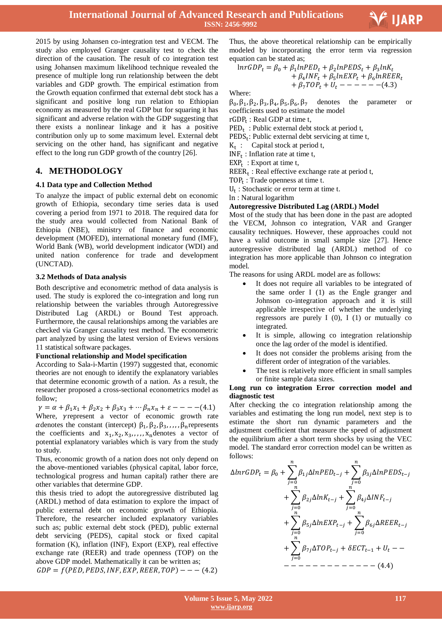

2015 by using Johansen co-integration test and VECM. The study also employed Granger causality test to check the direction of the causation. The result of co integration test using Johansen maximum likelihood technique revealed the presence of multiple long run relationship between the debt variables and GDP growth. The empirical estimation from the Growth equation confirmed that external debt stock has a significant and positive long run relation to Ethiopian economy as measured by the real GDP but for squaring it has significant and adverse relation with the GDP suggesting that there exists a nonlinear linkage and it has a positive contribution only up to some maximum level. External debt servicing on the other hand, has significant and negative effect to the long run GDP growth of the country [26].

# **4. METHODOLOGY**

## **4.1 Data type and Collection Method**

To analyze the impact of public external debt on economic growth of Ethiopia, secondary time series data is used covering a period from 1971 to 2018. The required data for the study area would collected from National Bank of Ethiopia (NBE), ministry of finance and economic development (MOFED), international monetary fund (IMF), World Bank (WB), world development indicator (WDI) and united nation conference for trade and development (UNCTAD).

## **3.2 Methods of Data analysis**

Both descriptive and econometric method of data analysis is used. The study is explored the co-integration and long run relationship between the variables through Autoregressive Distributed Lag (ARDL) or Bound Test approach. Furthermore, the causal relationships among the variables are checked via Granger causality test method. The econometric part analyzed by using the latest version of Eviews versions 11 statistical software packages.

## **Functional relationship and Model specification**

According to Sala-i-Martin (1997) suggested that, economic theories are not enough to identify the explanatory variables that determine economic growth of a nation. As a result, the researcher proposed a cross-sectional econometrics model as follow;

 $\gamma = \alpha + \beta_1 x_1 + \beta_2 x_2 + \beta_3 x_3 + \cdots + \beta_n x_n + \varepsilon = - - (4.1)$ Where, yrepresent a vector of economic growth rate  $\alpha$  denotes the constant (intercept)  $\beta_1$ ,  $\beta_2$ ,  $\beta_3$ , , , , ,  $\beta_n$  represents the coefficients and  $x_1, x_2, x_3, \ldots, x_n$  denotes a vector of potential explanatory variables which is vary from the study to study.

Thus, economic growth of a nation does not only depend on the above-mentioned variables (physical capital, labor force, technological progress and human capital) rather there are other variables that determine GDP.

this thesis tried to adopt the autoregressive distributed lag (ARDL) method of data estimation to explore the impact of public external debt on economic growth of Ethiopia. Therefore, the researcher included explanatory variables such as; public external debt stock (PED), public external debt servicing (PEDS), capital stock or fixed capital formation (K), inflation (INF), Export (EXP), real effective exchange rate (REER) and trade openness (TOP) on the above GDP model. Mathematically it can be written as;  $GDP = f(PED, PEDS, INF, EXP, REER, TOP)$  - - - (4.2)

 Thus, the above theoretical relationship can be empirically modeled by incorporating the error term via regression equation can be stated as;

$$
lnrGDP_t = \beta_0 + \beta_1 lnPED_t + \beta_2 lnPEDS_t + \beta_3 lnK_t
$$
  
+  $\beta_4 INF_t + \beta_5 lnEXP_t + \beta_6 lnREER_t$   
+  $\beta_7 TOP_t + U_t - - - - - (4.3)$ 

Where:

 $\beta_0$ ,  $\beta_1$ ,  $\beta_2$ ,  $\beta_3$ ,  $\beta_4$ ,  $\beta_5$ ,  $\beta_6$ ,  $\beta_7$  denotes the parameter or coefficients used to estimate the model

rGDP<sub>t</sub>: Real GDP at time t,

 $\text{PED}_t$ : Public external debt stock at period t,

 $PEDS_t$ : Public external debt servicing at time t,

 $K_t$ : Capital stock at period t,

 $INF_t$ : Inflation rate at time t,

 $EXP<sub>t</sub>: Expert at time t,$ 

 $REER_t$ : Real effective exchange rate at period t,

TOP<sub>t</sub>: Trade openness at time t.

 $U_t$ : Stochastic or error term at time t.

: Natural logarithm

## **Autoregressive Distributed Lag (ARDL) Model**

Most of the study that has been done in the past are adopted the VECM, Johnson co integration, VAR and Granger causality techniques. However, these approaches could not have a valid outcome in small sample size [27]. Hence autoregressive distributed lag (ARDL) method of co integration has more applicable than Johnson co integration model.

The reasons for using ARDL model are as follows:

- It does not require all variables to be integrated of the same order I (1) as the Engle granger and Johnson co-integration approach and it is still applicable irrespective of whether the underlying regressors are purely  $I(0)$ ,  $I(1)$  or mutually co integrated.
- It is simple, allowing co integration relationship once the lag order of the model is identified.
- It does not consider the problems arising from the different order of integration of the variables.
- The test is relatively more efficient in small samples or finite sample data sizes.

#### **Long run co integration Error correction model and diagnostic test**

After checking the co integration relationship among the variables and estimating the long run model, next step is to estimate the short run dynamic parameters and the adjustment coefficient that measure the speed of adjustment the equilibrium after a short term shocks by using the VEC model. The standard error correction model can be written as follows:

$$
\Delta ln rGDP_t = \beta_0 + \sum_{j=0}^{n} \beta_{1j} \Delta ln PED_{t-j} + \sum_{j=0}^{n} \beta_{3j} \Delta ln PEDS_{t-j} \n+ \sum_{j=0}^{n} \beta_{2j} \Delta ln K_{t-j} + \sum_{j=0}^{n} \beta_{4j} \Delta INF_{t-j} \n+ \sum_{j=0}^{n} \beta_{5j} \Delta ln EXP_{t-j} + \sum_{j=0}^{n} \beta_{6j} \Delta REER_{t-j} \n+ \sum_{j=0}^{n} \beta_{7j} \Delta TOP_{t-j} + \delta ECT_{t-1} + U_t - -
$$
\n- - - - - - - - - - - (4.4)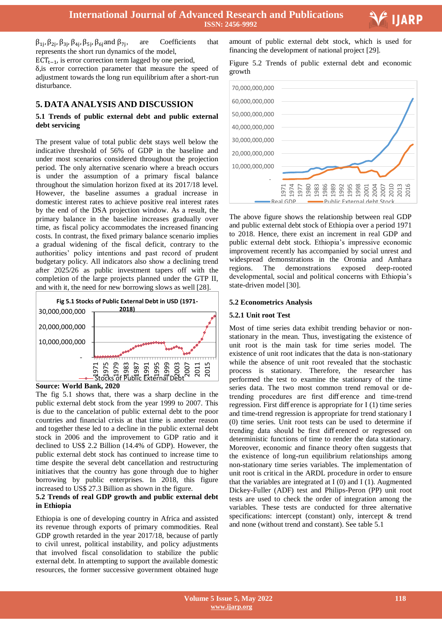$\beta_{1j}, \beta_{2j}, \beta_{3j}, \beta_{4j}, \beta_{5j}, \beta_{6j}$  and  $\beta_{7j}$ , are Coefficients that represents the short run dynamics of the model,

 $\text{ECT}_{t-1}$ , is error correction term lagged by one period,

 $\delta$ , is error correction parameter that measure the speed of adjustment towards the long run equilibrium after a short-run disturbance.

# **5. DATA ANALYSIS AND DISCUSSION**

## **5.1 Trends of public external debt and public external debt servicing**

The present value of total public debt stays well below the indicative threshold of 56% of GDP in the baseline and under most scenarios considered throughout the projection period. The only alternative scenario where a breach occurs is under the assumption of a primary fiscal balance throughout the simulation horizon fixed at its 2017/18 level. However, the baseline assumes a gradual increase in domestic interest rates to achieve positive real interest rates by the end of the DSA projection window. As a result, the primary balance in the baseline increases gradually over time, as fiscal policy accommodates the increased financing costs. In contrast, the fixed primary balance scenario implies a gradual widening of the fiscal deficit, contrary to the authorities' policy intentions and past record of prudent budgetary policy. All indicators also show a declining trend after 2025/26 as public investment tapers off with the completion of the large projects planned under the GTP II, and with it, the need for new borrowing slows as well [28].





The fig 5.1 shows that, there was a sharp decline in the public external debt stock from the year 1999 to 2007. This is due to the cancelation of public external debt to the poor countries and financial crisis at that time is another reason and together these led to a decline in the public external debt stock in 2006 and the improvement to GDP ratio and it declined to US\$ 2.2 Billion (14.4% of GDP). However, the public external debt stock has continued to increase time to time despite the several debt cancellation and restructuring initiatives that the country has gone through due to higher borrowing by public enterprises. In 2018, this figure increased to US\$ 27.3 Billion as shown in the figure.

## **5.2 Trends of real GDP growth and public external debt in Ethiopia**

Ethiopia is one of developing country in Africa and assisted its revenue through exports of primary commodities. Real GDP growth retarded in the year 2017/18, because of partly to civil unrest, political instability, and policy adjustments that involved fiscal consolidation to stabilize the public external debt. In attempting to support the available domestic resources, the former successive government obtained huge

 amount of public external debt stock, which is used for financing the development of national project [29].





The above figure shows the relationship between real GDP and public external debt stock of Ethiopia over a period 1971 to 2018. Hence, there exist an increment in real GDP and public external debt stock. Ethiopia's impressive economic improvement recently has accompanied by social unrest and widespread demonstrations in the Oromia and Amhara regions. The demonstrations exposed deep-rooted developmental, social and political concerns with Ethiopia's state-driven model [30].

# **5.2 Econometrics Analysis**

## **5.2.1 Unit root Test**

Most of time series data exhibit trending behavior or nonstationary in the mean. Thus, investigating the existence of unit root is the main task for time series model. The existence of unit root indicates that the data is non-stationary while the absence of unit root revealed that the stochastic process is stationary. Therefore, the researcher has performed the test to examine the stationary of the time series data. The two most common trend removal or detrending procedures are first diff erence and time-trend regression. First diff erence is appropriate for I (1) time series and time-trend regression is appropriate for trend stationary I (0) time series. Unit root tests can be used to determine if trending data should be first diff erenced or regressed on deterministic functions of time to render the data stationary. Moreover, economic and finance theory often suggests that the existence of long-run equilibrium relationships among non-stationary time series variables. The implementation of unit root is critical in the ARDL procedure in order to ensure that the variables are integrated at  $I(0)$  and  $I(1)$ . Augmented Dickey-Fuller (ADF) test and Philips-Peron (PP) unit root tests are used to check the order of integration among the variables. These tests are conducted for three alternative specifications: intercept (constant) only, intercept & trend and none (without trend and constant). See table 5.1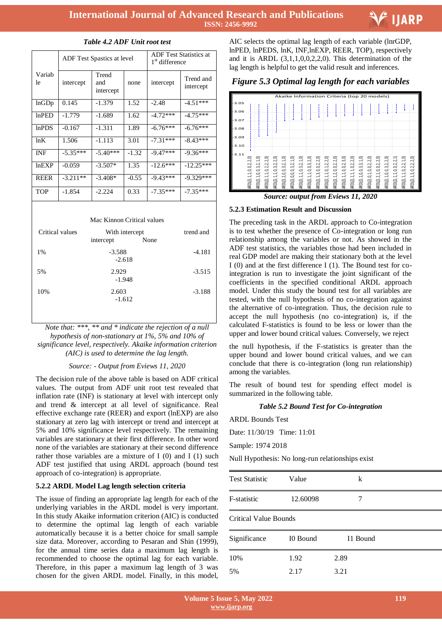

|              |            | <b>ADF</b> Test Spastics at level | <b>ADF</b> Test Statistics at<br>1 <sup>st</sup> difference |            |                        |
|--------------|------------|-----------------------------------|-------------------------------------------------------------|------------|------------------------|
| Variab<br>le | intercept  | Trend<br>and<br>intercept         | none                                                        | intercept  | Trend and<br>intercept |
| lnGDp        | 0.145      | $-1.379$                          | 1.52                                                        | $-2.48$    | $-4.51***$             |
| $ln$ PED     | $-1.779$   | $-1.689$                          | 1.62                                                        | $-4.72***$ | $-4.75***$             |
| lnPDS        | $-0.167$   | $-1.311$                          | 1.89                                                        | $-6.76***$ | $-6.76***$             |
| ln K         | 1.506      | $-1.113$                          | 3.01                                                        | $-7.31***$ | $-8.43***$             |
| <b>INF</b>   | $-5.35***$ | $-5.40***$                        | $-1.32$                                                     | $-9.47***$ | $-9.36***$             |
| lnEXP        | $-0.059$   | $-3.507*$                         | 1.35                                                        | $-12.6***$ | $-12.25***$            |
| <b>REER</b>  | $-3.211**$ | $-3.408*$                         | $-0.55$                                                     | $-9.43***$ | $-9.329***$            |
| TOP          | $-1.854$   | $-2.224$                          | 0.33                                                        | $-7.35***$ | $-7.35***$             |

#### *Table 4.2 ADF Unit root test*

#### Mac Kinnon Critical values

| Critical values | With intercept<br>None<br>intercept | trend and |
|-----------------|-------------------------------------|-----------|
| 1%              | $-3.588$<br>$-2.618$                | $-4.181$  |
| 5%              | 2.929<br>$-1.948$                   | $-3.515$  |
| 10%             | 2.603<br>$-1.612$                   | $-3.188$  |

*Note that: \*\*\*, \*\* and \* indicate the rejection of a null hypothesis of non-stationary at 1%, 5% and 10% of significance level, respectively. Akaike information criterion (AIC) is used to determine the lag length.*

#### *Source: - Output from Eviews 11, 2020*

The decision rule of the above table is based on ADF critical values. The output from ADF unit root test revealed that inflation rate (INF) is stationary at level with intercept only and trend & intercept at all level of significance. Real effective exchange rate (REER) and export (lnEXP) are also stationary at zero lag with intercept or trend and intercept at 5% and 10% significance level respectively. The remaining variables are stationary at their first difference. In other word none of the variables are stationary at their second difference rather those variables are a mixture of  $I(0)$  and  $I(1)$  such ADF test justified that using ARDL approach (bound test approach of co-integration) is appropriate.

## **5.2.2 ARDL Model Lag length selection criteria**

The issue of finding an appropriate lag length for each of the underlying variables in the ARDL model is very important. In this study Akaike information criterion (AIC) is conducted to determine the optimal lag length of each variable automatically because it is a better choice for small sample size data. Moreover, according to Pesaran and Shin (1999), for the annual time series data a maximum lag length is recommended to choose the optimal lag for each variable. Therefore, in this paper a maximum lag length of 3 was chosen for the given ARDL model. Finally, in this model,

 AIC selects the optimal lag length of each variable (lnrGDP, lnPED, lnPEDS, lnK, INF,lnEXP, REER, TOP), respectively and it is ARDL  $(3,1,1,0,0,2,2,0)$ . This determination of the lag length is helpful to get the valid result and inferences.

# *Figure 5.3 Optimal lag length for each variables*



*Source: output from Eviews 11, 2020*

#### **5.2.3 Estimation Result and Discussion**

The preceding task in the ARDL approach to Co-integration is to test whether the presence of Co-integration or long run relationship among the variables or not. As showed in the ADF test statistics, the variables those had been included in real GDP model are making their stationary both at the level I (0) and at the first difference I (1). The Bound test for cointegration is run to investigate the joint significant of the coefficients in the specified conditional ARDL approach model. Under this study the bound test for all variables are tested, with the null hypothesis of no co-integration against the alternative of co-integration. Thus, the decision rule to accept the null hypothesis (no co-integration) is, if the calculated F-statistics is found to be less or lower than the upper and lower bound critical values. Conversely, we reject

the null hypothesis, if the F-statistics is greater than the upper bound and lower bound critical values, and we can conclude that there is co-integration (long run relationship) among the variables.

The result of bound test for spending effect model is summarized in the following table.

#### *Table 5.2 Bound Test for Co-integration*

ARDL Bounds Test

Date: 11/30/19 Time: 11:01

Sample: 1974 2018

Null Hypothesis: No long-run relationships exist

| <b>Test Statistic</b>        | Value    | k        |  |
|------------------------------|----------|----------|--|
| F-statistic                  | 12.60098 |          |  |
| <b>Critical Value Bounds</b> |          |          |  |
| Significance                 | I0 Bound | I1 Bound |  |
| 10%                          | 1.92     | 2.89     |  |
| 5%                           | 2.17     | 3.21     |  |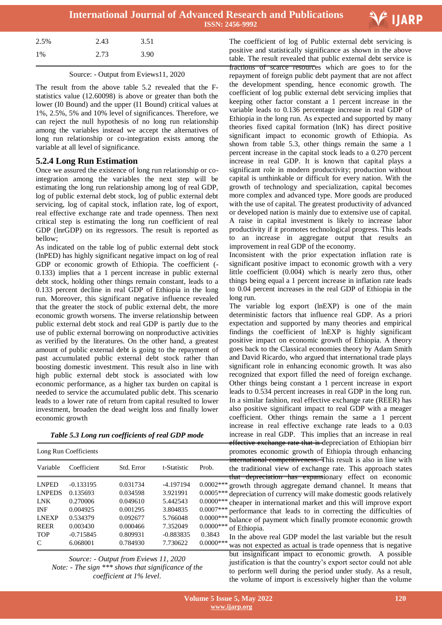

| 2.5% | 2.43 | 3.51 |
|------|------|------|
| 1%   | 2.73 | 3.90 |

## Source: - Output from Eviews11, 2020

The result from the above table 5.2 revealed that the Fstatistics value (12.60098) is above or greater than both the lower (I0 Bound) and the upper (I1 Bound) critical values at 1%, 2.5%, 5% and 10% level of significances. Therefore, we can reject the null hypothesis of no long run relationship among the variables instead we accept the alternatives of long run relationship or co-integration exists among the variable at all level of significance.

# **5.2.4 Long Run Estimation**

Once we assured the existence of long run relationship or cointegration among the variables the next step will be estimating the long run relationship among log of real GDP, log of public external debt stock, log of public external debt servicing, log of capital stock, inflation rate, log of export, real effective exchange rate and trade openness. Then next critical step is estimating the long run coefficient of real GDP (lnrGDP) on its regressors. The result is reported as bellow;

As indicated on the table log of public external debt stock (lnPED) has highly significant negative impact on log of real GDP or economic growth of Ethiopia. The coefficient (- 0.133) implies that a 1 percent increase in public external debt stock, holding other things remain constant, leads to a 0.133 percent decline in real GDP of Ethiopia in the long run. Moreover, this significant negative influence revealed that the greater the stock of public external debt, the more economic growth worsens. The inverse relationship between public external debt stock and real GDP is partly due to the use of public external borrowing on nonproductive activities as verified by the literatures. On the other hand, a greatest amount of public external debt is going to the repayment of past accumulated public external debt stock rather than boosting domestic investment. This result also in line with high public external debt stock is associated with low economic performance, as a higher tax burden on capital is needed to service the accumulated public debt. This scenario leads to a lower rate of return from capital resulted to lower investment, broaden the dead weight loss and finally lower economic growth

*Table 5.3 Long run coefficients of real GDP mode*

| Long Run Coefficients |             |            |             |              |  |  |
|-----------------------|-------------|------------|-------------|--------------|--|--|
| Variable              | Coefficient | Std. Error | t-Statistic | Prob.        |  |  |
| <b>LNPED</b>          | $-0.133195$ | 0.031734   | $-4.197194$ | $0.0002$ *** |  |  |
| <b>LNPEDS</b>         | 0.135693    | 0.034598   | 3.921991    | $0.0005***$  |  |  |
| <b>LNK</b>            | 0.270006    | 0.049610   | 5.442543    | $0.0000$ *** |  |  |
| <b>INF</b>            | 0.004925    | 0.001295   | 3.804835    | $0.0007***$  |  |  |
| <b>LNEXP</b>          | 0.534379    | 0.092677   | 5.766048    | $0.0000$ *** |  |  |
| <b>REER</b>           | 0.003430    | 0.000466   | 7.352049    | $0.0000$ *** |  |  |
| <b>TOP</b>            | $-0.715845$ | 0.809931   | $-0.883835$ | 0.3843       |  |  |
| C                     | 6.068001    | 0.784930   | 7.730622    | $0.0000$ *** |  |  |

*Source: - Output from Eviews 11, 2020 Note: - The sign \*\*\* shows that significance of the coefficient at 1% level*.

 The coefficient of log of Public external debt servicing is positive and statistically significance as shown in the above table. The result revealed that public external debt service is fractions of scarce resources which are goes to for the repayment of foreign public debt payment that are not affect the development spending, hence economic growth. The coefficient of log public external debt servicing implies that keeping other factor constant a 1 percent increase in the variable leads to 0.136 percentage increase in real GDP of Ethiopia in the long run. As expected and supported by many theories fixed capital formation (lnK) has direct positive significant impact to economic growth of Ethiopia. As shown from table 5.3, other things remain the same a 1 percent increase in the capital stock leads to a 0.270 percent increase in real GDP. It is known that capital plays a significant role in modern productivity; production without capital is unthinkable or difficult for every nation. With the growth of technology and specialization, capital becomes more complex and advanced type. More goods are produced with the use of capital. The greatest productivity of advanced or developed nation is mainly due to extensive use of capital. A raise in capital investment is likely to increase labor productivity if it promotes technological progress. This leads to an increase in aggregate output that results an improvement in real GDP of the economy.

Inconsistent with the prior expectation inflation rate is significant positive impact to economic growth with a very little coefficient (0.004) which is nearly zero thus, other things being equal a 1 percent increase in inflation rate leads to 0.04 percent increases in the real GDP of Ethiopia in the long run.

The variable log export (lnEXP) is one of the main deterministic factors that influence real GDP. As a priori expectation and supported by many theories and empirical findings the coefficient of lnEXP is highly significant positive impact on economic growth of Ethiopia. A theory goes back to the Classical economies theory by Adam Smith and David Ricardo, who argued that international trade plays significant role in enhancing economic growth. It was also recognized that export filled the need of foreign exchange. Other things being constant a 1 percent increase in export leads to 0.534 percent increases in real GDP in the long run. In a similar fashion, real effective exchange rate (REER) has also positive significant impact to real GDP with a meager coefficient. Other things remain the same a 1 percent increase in real effective exchange rate leads to a 0.03 increase in real GDP. This implies that an increase in real effective exchange rate that is depreciation of Ethiopian birr promotes economic growth of Ethiopia through enhancing international competitiveness. This result is also in line with the traditional view of exchange rate. This approach states that depreciation has expansionary effect on economic growth through aggregate demand channel. It means that depreciation of currency will make domestic goods relatively cheaper in international market and this will improve export performance that leads to in correcting the difficulties of balance of payment which finally promote economic growth of Ethiopia.

In the above real GDP model the last variable but the result was not expected as actual is trade openness that is negative but insignificant impact to economic growth. A possible justification is that the country's export sector could not able to perform well during the period under study. As a result, the volume of import is excessively higher than the volume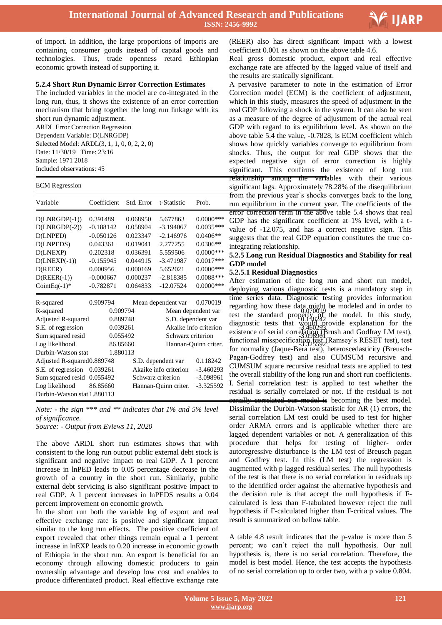

of import. In addition, the large proportions of imports are containing consumer goods instead of capital goods and technologies. Thus, trade openness retard Ethiopian economic growth instead of supporting it.

## **5.2.4 Short Run Dynamic Error Correction Estimates**

The included variables in the model are co-integrated in the long run, thus, it shows the existence of an error correction mechanism that bring together the long run linkage with its short run dynamic adjustment. ARDL Error Correction Regression Dependent Variable: D(LNRGDP) Selected Model: ARDL(3, 1, 1, 0, 0, 2, 2, 0)

Date: 11/30/19 Time: 23:16 Sample: 1971 2018 Included observations: 45

#### ECM Regression

|                             |             |            |                       |                       | from the previous year's shocks                          |
|-----------------------------|-------------|------------|-----------------------|-----------------------|----------------------------------------------------------|
| Variable                    | Coefficient | Std. Error | t-Statistic           | Prob.                 | run equilibrium in the current y                         |
|                             |             |            |                       |                       | error correction term in the abo                         |
| $D(LNRGDP(-1))$             | 0.391489    | 0.068950   | 5.677863              | $0.0000$ ***          | GDP has the significant coeffic                          |
| $D(LNRGDP(-2))$             | $-0.188142$ | 0.058904   | $-3.194067$           | $0.0035***$           | value of $-12.075$ , and has a                           |
| D(LNPED)                    | $-0.050126$ | 0.023347   | $-2.146976$           | $0.0406**$            | suggests that the real GDP equa                          |
| D(LNPEDS)                   | 0.043361    | 0.019041   | 2.277255              | $0.0306**$            | integrating relationship.                                |
| D(LNEXP)                    | 0.202318    | 0.036391   | 5.559506              | $0.0000***$           | 5.2.5 Long run Residual Diagn                            |
| $D(LNEXP(-1))$              | $-0.155945$ | 0.044915   | $-3.471987$           | $0.0017***$           | <b>GDP</b> model                                         |
| D(REER)                     | 0.000956    | 0.000169   | 5.652021              | $0.0000***$           | 5.2.5.1 Residual Diagnostics                             |
| $D(REER(-1))$               | $-0.000667$ | 0.000237   | $-2.818385$           | $0.0088***$           | After estimation of the long                             |
| Coint Eq $(-1)^*$           | $-0.782871$ | 0.064833   | $-12.07524$           | $0.0000***$           | deploying various diagnostic to                          |
|                             |             |            |                       |                       |                                                          |
| R-squared                   | 0.909794    |            | Mean dependent var    | 0.070019              | time series data. Diagnostic to                          |
| R-squared                   | 0.909794    |            |                       | Mean dependent var    | regarding how these data might $0.070019$                |
| Adjusted R-squared          | 0.889748    |            |                       | S.D. dependent var    | test the standard property of                            |
| S.E. of regression          | 0.039261    |            |                       | Akaike info criterion | diagnostic tests that $\frac{\cancel{00}}{2}\frac{1}{4}$ |
| Sum squared resid           | 0.055492    |            | Schwarz criterion     |                       | existence of serial correlation (F                       |
| Log likelihood              | 86.85660    |            |                       | Hannan-Quinn criter.  | functional misspecification fést                         |
| Durbin-Watson stat          | 1.880113    |            |                       |                       | for normality (Jaque-Bera test),                         |
| Adjusted R-squared 0.889748 |             |            | S.D. dependent var    | 0.118242              | Pagan-Godfrey test) and also                             |
| S.E. of regression 0.039261 |             |            | Akaike info criterion | $-3.460293$           | CUMSUM square recursive resi                             |
| Sum squared resid 0.055492  |             |            | Schwarz criterion     | $-3.098961$           | the overall stability of the long r                      |
| Log likelihood              | 86.85660    |            | Hannan-Quinn criter.  | $-3.325592$           | I. Serial correlation test: is a                         |
| Durbin-Watson stat 1.880113 |             |            |                       |                       | residual is serially correlated o                        |
|                             |             |            |                       |                       | corielly correlated our model is                         |

*Note: - the sign \*\*\* and \*\* indicates that 1% and 5% level of significance.* 

*Source: - Output from Eviews 11, 2020*

The above ARDL short run estimates shows that with consistent to the long run output public external debt stock is significant and negative impact to real GDP. A 1 percent increase in lnPED leads to 0.05 percentage decrease in the growth of a country in the short run. Similarly, public external debt servicing is also significant positive impact to real GDP. A 1 percent increases in lnPEDS results a 0.04 percent improvement on economic growth.

In the short run both the variable log of export and real effective exchange rate is positive and significant impact similar to the long run effects. The positive coefficient of export revealed that other things remain equal a 1 percent increase in lnEXP leads to 0.20 increase in economic growth of Ethiopia in the short run. An export is beneficial for an economy through allowing domestic producers to gain ownership advantage and develop low cost and enables to produce differentiated product. Real effective exchange rate

 (REER) also has direct significant impact with a lowest coefficient 0.001 as shown on the above table 4.6.

Real gross domestic product, export and real effective exchange rate are affected by the lagged value of itself and the results are statically significant.

A pervasive parameter to note in the estimation of Error Correction model (ECM) is the coefficient of adjustment, which in this study, measures the speed of adjustment in the real GDP following a shock in the system. It can also be seen as a measure of the degree of adjustment of the actual real GDP with regard to its equilibrium level. As shown on the above table 5.4 the value, -0.7828, is ECM coefficient which shows how quickly variables converge to equilibrium from shocks. Thus, the output for real GDP shows that the expected negative sign of error correction is highly significant. This confirms the existence of long run relationship among the variables with their various significant lags. Approximately 78.28% of the disequilibrium from the previous year's shocks converges back to the long run equilibrium in the current year. The coefficients of the error correction term in the above table 5.4 shows that real GDP has the significant coefficient at 1% level, with a tvalue of -12.075, and has a correct negative sign. This suggests that the real GDP equation constitutes the true cointegrating relationship.

#### **5.2.5 Long run Residual Diagnostics and Stability for real GDP model**

#### **5.2.5.1 Residual Diagnostics**

After estimation of the long run and short run model, deploying various diagnostic tests is a mandatory step in time series data. Diagnostic testing provides information regarding how these data might be modeled and in order to test the standard property  $\partial f$  the model. In this study, diagnostic tests that would provide explanation for the existence of serial correlation (Brush and Godfray LM test), functional misspecification test. (Ramsey's RESET test), test for normality (Jaque-Bera test), heteroscedasticity (Breusch-Pagan-Godfrey test) and also CUMSUM recursive and CUMSUM square recursive residual tests are applied to test the overall stability of the long run and short run coefficients. I. Serial correlation test: is applied to test whether the residual is serially correlated or not. If the residual is not serially correlated our model is becoming the best model. Dissimilar the Durbin-Watson statistic for AR (1) errors, the serial correlation LM test could be used to test for higher order ARMA errors and is applicable whether there are lagged dependent variables or not. A generalization of this procedure that helps for testing of higher- order autoregressive disturbance is the LM test of Breusch pagan and Godfrey test. In this (LM test) the regression is augmented with p lagged residual series. The null hypothesis of the test is that there is no serial correlation in residuals up to the identified order against the alternative hypothesis and the decision rule is that accept the null hypothesis if Fcalculated is less than F-tabulated however reject the null hypothesis if F-calculated higher than F-critical values. The result is summarized on bellow table.

A table 4.8 result indicates that the p-value is more than 5 percent; we can't reject the null hypothesis. Our null hypothesis is, there is no serial correlation. Therefore, the model is best model. Hence, the test accepts the hypothesis of no serial correlation up to order two, with a p value 0.804.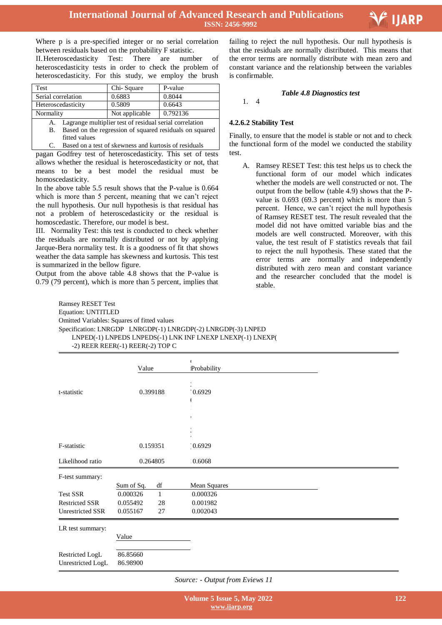

Where p is a pre-specified integer or no serial correlation between residuals based on the probability F statistic. II.Heteroscedasticity Test: There are number of heteroscedasticity tests in order to check the problem of heteroscedasticity. For this study, we employ the brush

| Test               | Chi-Square     | P-value  |
|--------------------|----------------|----------|
| Serial correlation | 0.6883         | 0.8044   |
| Heteroscedasticity | 0.5809         | 0.6643   |
| Normality          | Not applicable | 0.792136 |

- A. Lagrange multiplier test of residual serial correlation<br>B. Based on the regression of squared residuals on squ Based on the regression of squared residuals on squared
- fitted values C. Based on a test of skewness and kurtosis of residuals

pagan Godfrey test of heteroscedasticity. This set of tests allows whether the residual is heteroscedasticity or not, that means to be a best model the residual must be homoscedasticity.

In the above table 5.5 result shows that the P-value is 0.664 which is more than 5 percent, meaning that we can't reject the null hypothesis. Our null hypothesis is that residual has not a problem of heteroscedasticity or the residual is homoscedastic. Therefore, our model is best.

III. Normality Test: this test is conducted to check whether the residuals are normally distributed or not by applying Jarque-Bera normality test. It is a goodness of fit that shows weather the data sample has skewness and kurtosis. This test is summarized in the bellow figure.

Output from the above table 4.8 shows that the P-value is 0.79 (79 percent), which is more than 5 percent, implies that

 failing to reject the null hypothesis. Our null hypothesis is that the residuals are normally distributed. This means that the error terms are normally distribute with mean zero and constant variance and the relationship between the variables is confirmable.

## *Table 4.8 Diagnostics test*

1. 4

# **4.2.6.2 Stability Test**

Finally, to ensure that the model is stable or not and to check the functional form of the model we conducted the stability test.

A. Ramsey RESET Test: this test helps us to check the functional form of our model which indicates whether the models are well constructed or not. The output from the bellow (table 4.9) shows that the Pvalue is 0.693 (69.3 percent) which is more than 5 percent. Hence, we can't reject the null hypothesis of Ramsey RESET test. The result revealed that the model did not have omitted variable bias and the models are well constructed. Moreover, with this value, the test result of F statistics reveals that fail to reject the null hypothesis. These stated that the error terms are normally and independently distributed with zero mean and constant variance and the researcher concluded that the model is stable.

Ramsey RESET Test Equation: UNTITLED Omitted Variables: Squares of fitted values Specification: LNRGDP LNRGDP(-1) LNRGDP(-2) LNRGDP(-3) LNPED LNPED(-1) LNPEDS LNPEDS(-1) LNK INF LNEXP LNEXP(-1) LNEXP( -2) REER REER(-1) REER(-2) TOP C

|                       | Value      |              | Probability  |  |  |
|-----------------------|------------|--------------|--------------|--|--|
| t-statistic           |            | 0.399188     | 0.6929       |  |  |
| F-statistic           |            | 0.159351     | $0.6929$     |  |  |
| Likelihood ratio      |            | 0.264805     | 0.6068       |  |  |
| F-test summary:       |            |              |              |  |  |
|                       | Sum of Sq. | df           | Mean Squares |  |  |
| <b>Test SSR</b>       | 0.000326   | $\mathbf{1}$ | 0.000326     |  |  |
| <b>Restricted SSR</b> | 0.055492   | 28           | 0.001982     |  |  |
| Unrestricted SSR      | 0.055167   | 27           | 0.002043     |  |  |
| LR test summary:      |            |              |              |  |  |
|                       | Value      |              |              |  |  |
| Restricted LogL       | 86.85660   |              |              |  |  |
| Unrestricted LogL     | 86.98900   |              |              |  |  |

*Source: - Output from Eviews 11*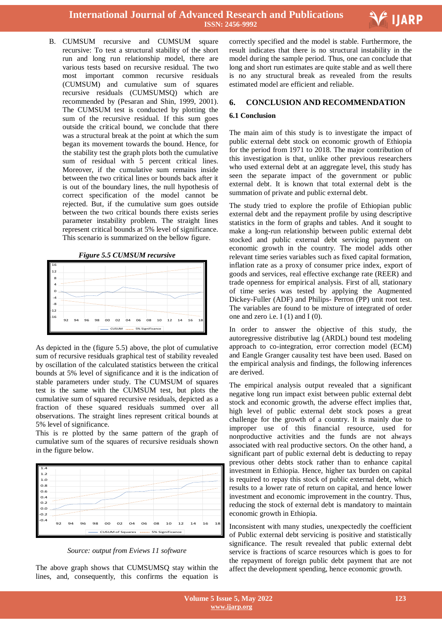

B. CUMSUM recursive and CUMSUM square recursive: To test a structural stability of the short run and long run relationship model, there are various tests based on recursive residual. The two most important common recursive residuals (CUMSUM) and cumulative sum of squares recursive residuals (CUMSUMSQ) which are recommended by (Pesaran and Shin, 1999, 2001). The CUMSUM test is conducted by plotting the sum of the recursive residual. If this sum goes outside the critical bound, we conclude that there was a structural break at the point at which the sum began its movement towards the bound. Hence, for the stability test the graph plots both the cumulative sum of residual with 5 percent critical lines. Moreover, if the cumulative sum remains inside between the two critical lines or bounds back after it is out of the boundary lines, the null hypothesis of correct specification of the model cannot be rejected. But, if the cumulative sum goes outside between the two critical bounds there exists series parameter instability problem. The straight lines represent critical bounds at 5% level of significance. This scenario is summarized on the bellow figure.



As depicted in the (figure 5.5) above, the plot of cumulative sum of recursive residuals graphical test of stability revealed by oscillation of the calculated statistics between the critical bounds at 5% level of significance and it is the indication of stable parameters under study. The CUMSUM of squares test is the same with the CUMSUM test, but plots the cumulative sum of squared recursive residuals, depicted as a fraction of these squared residuals summed over all observations. The straight lines represent critical bounds at 5% level of significance.

This is re plotted by the same pattern of the graph of cumulative sum of the squares of recursive residuals shown in the figure below.



*Source: output from Eviews 11 software*

The above graph shows that CUMSUMSQ stay within the lines, and, consequently, this confirms the equation is

 correctly specified and the model is stable. Furthermore, the result indicates that there is no structural instability in the model during the sample period. Thus, one can conclude that long and short run estimates are quite stable and as well there is no any structural break as revealed from the results estimated model are efficient and reliable.

## **6. CONCLUSION AND RECOMMENDATION**

#### **6.1 Conclusion**

The main aim of this study is to investigate the impact of public external debt stock on economic growth of Ethiopia for the period from 1971 to 2018. The major contribution of this investigation is that, unlike other previous researchers who used external debt at an aggregate level, this study has seen the separate impact of the government or public external debt. It is known that total external debt is the summation of private and public external debt.

The study tried to explore the profile of Ethiopian public external debt and the repayment profile by using descriptive statistics in the form of graphs and tables. And it sought to make a long-run relationship between public external debt stocked and public external debt servicing payment on economic growth in the country. The model adds other relevant time series variables such as fixed capital formation, inflation rate as a proxy of consumer price index, export of goods and services, real effective exchange rate (REER) and trade openness for empirical analysis. First of all, stationary of time series was tested by applying the Augmented Dickey-Fuller (ADF) and Philips- Perron (PP) unit root test. The variables are found to be mixture of integrated of order one and zero i.e. I (1) and I (0).

In order to answer the objective of this study, the autoregressive distributive lag (ARDL) bound test modeling approach to co-integration, error correction model (ECM) and Eangle Granger causality test have been used. Based on the empirical analysis and findings, the following inferences are derived.

The empirical analysis output revealed that a significant negative long run impact exist between public external debt stock and economic growth, the adverse effect implies that, high level of public external debt stock poses a great challenge for the growth of a country. It is mainly due to improper use of this financial resource, used for nonproductive activities and the funds are not always associated with real productive sectors. On the other hand, a significant part of public external debt is deducting to repay previous other debts stock rather than to enhance capital investment in Ethiopia. Hence, higher tax burden on capital is required to repay this stock of public external debt, which results to a lower rate of return on capital, and hence lower investment and economic improvement in the country. Thus, reducing the stock of external debt is mandatory to maintain economic growth in Ethiopia.

Inconsistent with many studies, unexpectedly the coefficient of Public external debt servicing is positive and statistically significance. The result revealed that public external debt service is fractions of scarce resources which is goes to for the repayment of foreign public debt payment that are not affect the development spending, hence economic growth.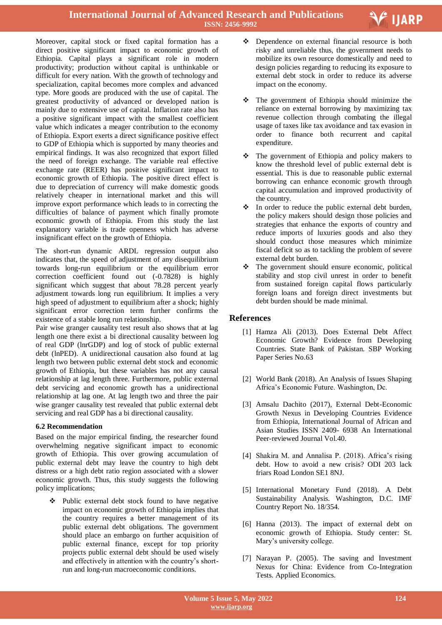Moreover, capital stock or fixed capital formation has a direct positive significant impact to economic growth of Ethiopia. Capital plays a significant role in modern productivity; production without capital is unthinkable or difficult for every nation. With the growth of technology and specialization, capital becomes more complex and advanced type. More goods are produced with the use of capital. The greatest productivity of advanced or developed nation is mainly due to extensive use of capital. Inflation rate also has a positive significant impact with the smallest coefficient value which indicates a meager contribution to the economy of Ethiopia. Export exerts a direct significance positive effect to GDP of Ethiopia which is supported by many theories and empirical findings. It was also recognized that export filled the need of foreign exchange. The variable real effective exchange rate (REER) has positive significant impact to economic growth of Ethiopia. The positive direct effect is due to depreciation of currency will make domestic goods relatively cheaper in international market and this will improve export performance which leads to in correcting the difficulties of balance of payment which finally promote economic growth of Ethiopia. From this study the last explanatory variable is trade openness which has adverse insignificant effect on the growth of Ethiopia.

The short-run dynamic ARDL regression output also indicates that, the speed of adjustment of any disequilibrium towards long-run equilibrium or the equilibrium error correction coefficient found out (-0.7828) is highly significant which suggest that about 78.28 percent yearly adjustment towards long run equilibrium. It implies a very high speed of adjustment to equilibrium after a shock; highly significant error correction term further confirms the existence of a stable long run relationship.

Pair wise granger causality test result also shows that at lag length one there exist a bi directional causality between log of real GDP (lnrGDP) and log of stock of public external debt (lnPED). A unidirectional causation also found at lag length two between public external debt stock and economic growth of Ethiopia, but these variables has not any causal relationship at lag length three. Furthermore, public external debt servicing and economic growth has a unidirectional relationship at lag one. At lag length two and three the pair wise granger causality test revealed that public external debt servicing and real GDP has a bi directional causality.

## **6.2 Recommendation**

Based on the major empirical finding, the researcher found overwhelming negative significant impact to economic growth of Ethiopia. This over growing accumulation of public external debt may leave the country to high debt distress or a high debt ratio region associated with a slower economic growth. Thus, this study suggests the following policy implications;

 Public external debt stock found to have negative impact on economic growth of Ethiopia implies that the country requires a better management of its public external debt obligations. The government should place an embargo on further acquisition of public external finance, except for top priority projects public external debt should be used wisely and effectively in attention with the country's shortrun and long-run macroeconomic conditions.

 Dependence on external financial resource is both risky and unreliable thus, the government needs to mobilize its own resource domestically and need to design policies regarding to reducing its exposure to external debt stock in order to reduce its adverse impact on the economy.

V IJARP

- The government of Ethiopia should minimize the reliance on external borrowing by maximizing tax revenue collection through combating the illegal usage of taxes like tax avoidance and tax evasion in order to finance both recurrent and capital expenditure.
- The government of Ethiopia and policy makers to know the threshold level of public external debt is essential. This is due to reasonable public external borrowing can enhance economic growth through capital accumulation and improved productivity of the country.
- \* In order to reduce the public external debt burden, the policy makers should design those policies and strategies that enhance the exports of country and reduce imports of luxuries goods and also they should conduct those measures which minimize fiscal deficit so as to tackling the problem of severe external debt burden.
- $\div$  The government should ensure economic, political stability and stop civil unrest in order to benefit from sustained foreign capital flows particularly foreign loans and foreign direct investments but debt burden should be made minimal.

# **References**

- [1] Hamza Ali (2013). Does External Debt Affect Economic Growth? Evidence from Developing Countries. State Bank of Pakistan. SBP Working Paper Series No.63
- [2] World Bank (2018). An Analysis of Issues Shaping Africa's Economic Future. Washington, Dc.
- [3] Amsalu Dachito (2017), External Debt-Economic Growth Nexus in Developing Countries Evidence from Ethiopia, International Journal of African and Asian Studies ISSN 2409- 6938 An International Peer-reviewed Journal Vol.40.
- [4] Shakira M. and Annalisa P. (2018). Africa's rising debt. How to avoid a new crisis? ODI 203 lack friars Road London SE1 8NJ.
- [5] International Monetary Fund (2018). A Debt Sustainability Analysis. Washington, D.C. IMF Country Report No. 18/354.
- [6] Hanna (2013). The impact of external debt on economic growth of Ethiopia. Study center: St. Mary's university college.
- [7] Narayan P. (2005). The saving and Investment Nexus for China: Evidence from Co-Integration Tests. Applied Economics.